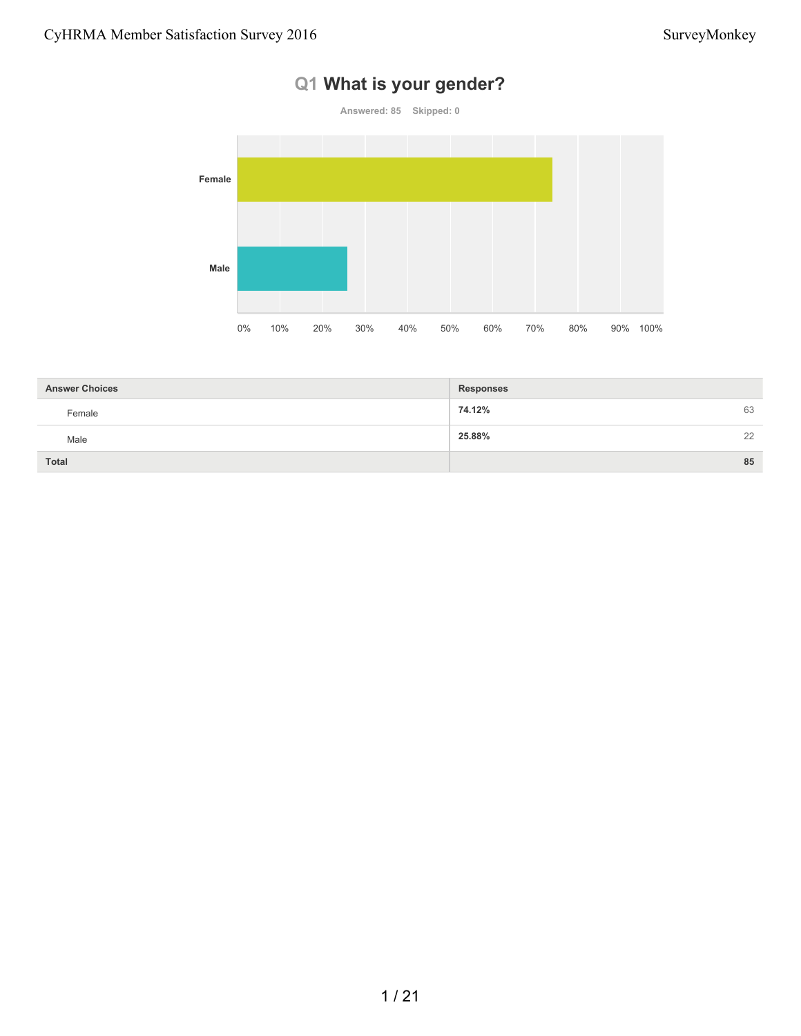### **Q1 What is your gender?**



| <b>Answer Choices</b> | <b>Responses</b> |    |
|-----------------------|------------------|----|
| Female                | 74.12%<br>63     |    |
| Male                  | 25.88%           | 22 |
| <b>Total</b>          | 85               |    |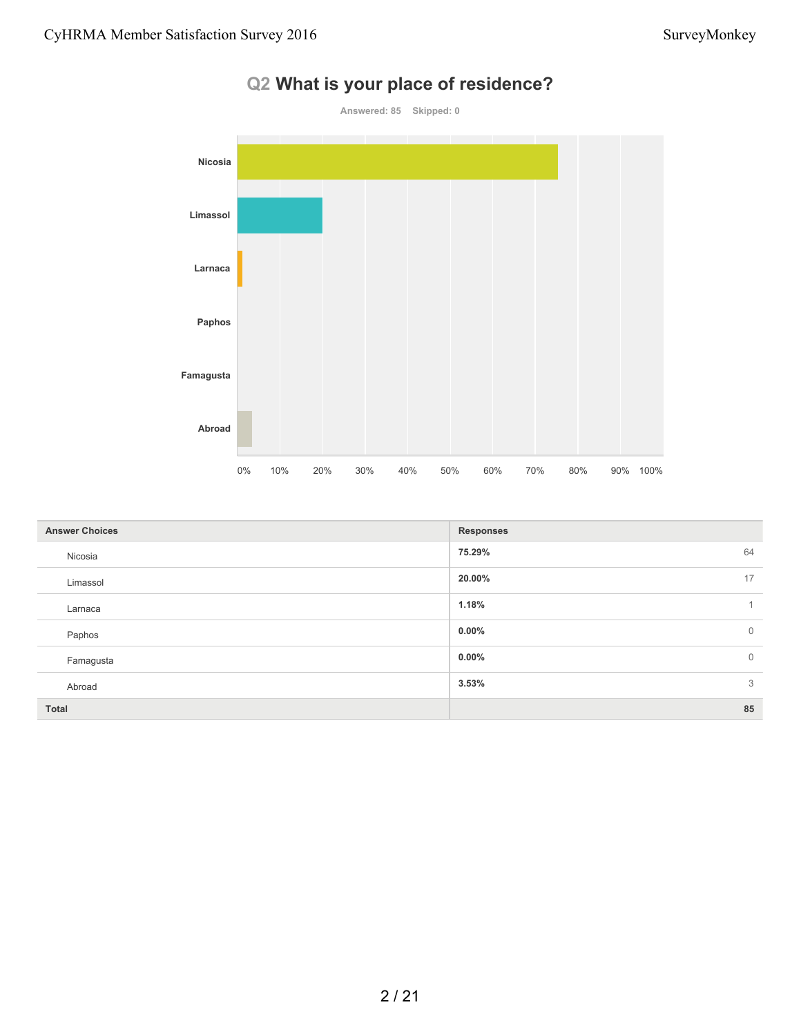

| <b>Answer Choices</b> | <b>Responses</b>        |
|-----------------------|-------------------------|
| Nicosia               | 64<br>75.29%            |
| Limassol              | 17<br>20.00%            |
| Larnaca               | 1.18%<br>$\mathbf{1}$   |
| Paphos                | $0.00\%$<br>$\mathbf 0$ |
| Famagusta             | $\mathbb O$<br>$0.00\%$ |
| Abroad                | 3<br>3.53%              |
| <b>Total</b>          | 85                      |

### **Q2 What is your place of residence?**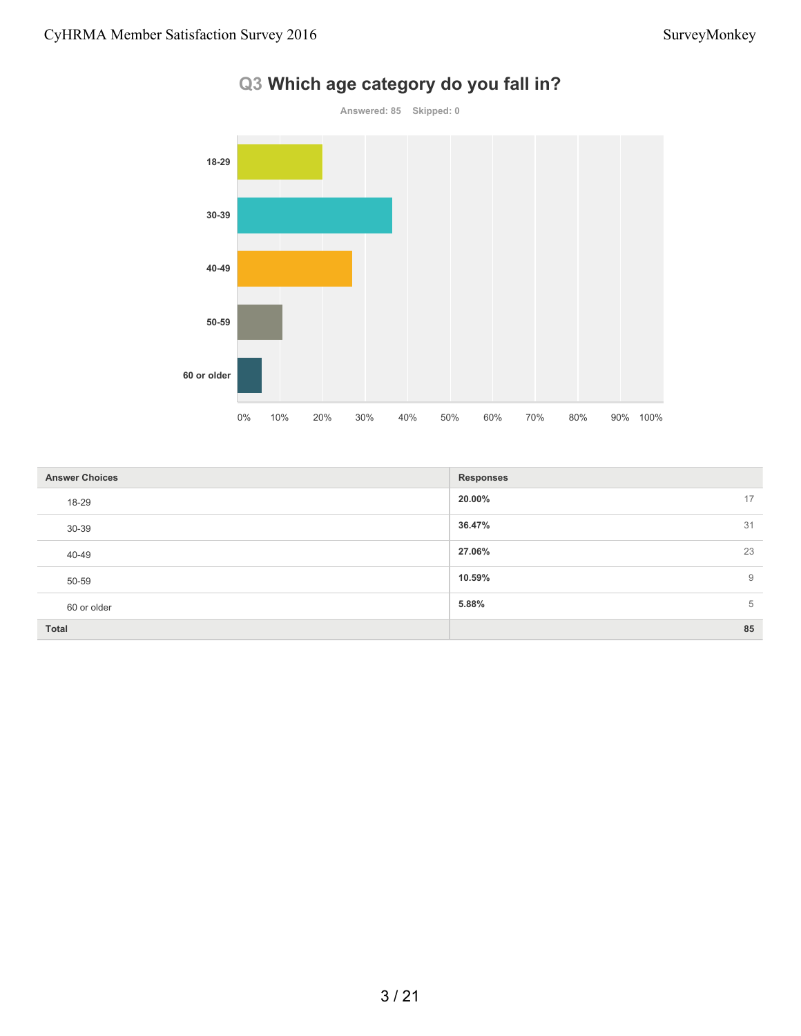

#### **Q3 Which age category do you fall in?**

| <b>Answer Choices</b> | <b>Responses</b> |  |
|-----------------------|------------------|--|
| 18-29                 | 20.00%<br>17     |  |
| 30-39                 | 36.47%<br>31     |  |
| 40-49                 | 23<br>27.06%     |  |
| 50-59                 | 10.59%<br>9      |  |
| 60 or older           | 5.88%<br>5       |  |
| <b>Total</b>          | 85               |  |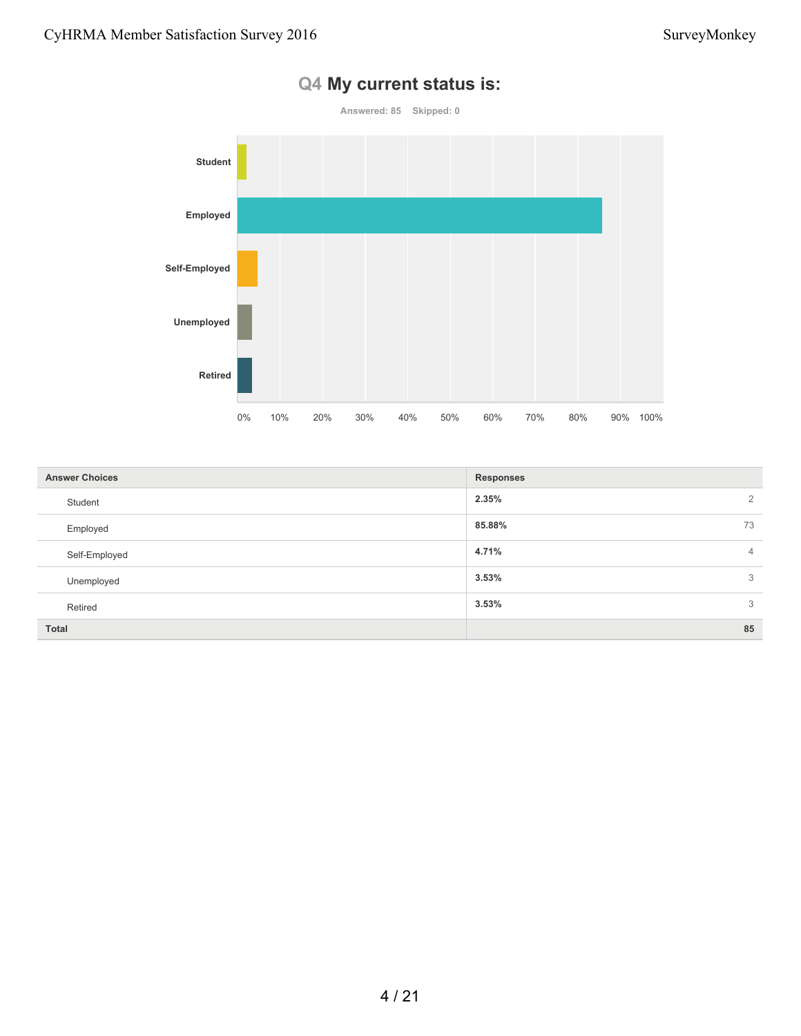

#### **Q4 My current status is:**

| <b>Answer Choices</b> | <b>Responses</b>        |  |
|-----------------------|-------------------------|--|
| Student               | 2.35%<br>2              |  |
| Employed              | 85.88%<br>73            |  |
| Self-Employed         | 4.71%<br>$\overline{4}$ |  |
| Unemployed            | 3.53%<br>3              |  |
| Retired               | 3.53%<br>3              |  |
| <b>Total</b>          | 85                      |  |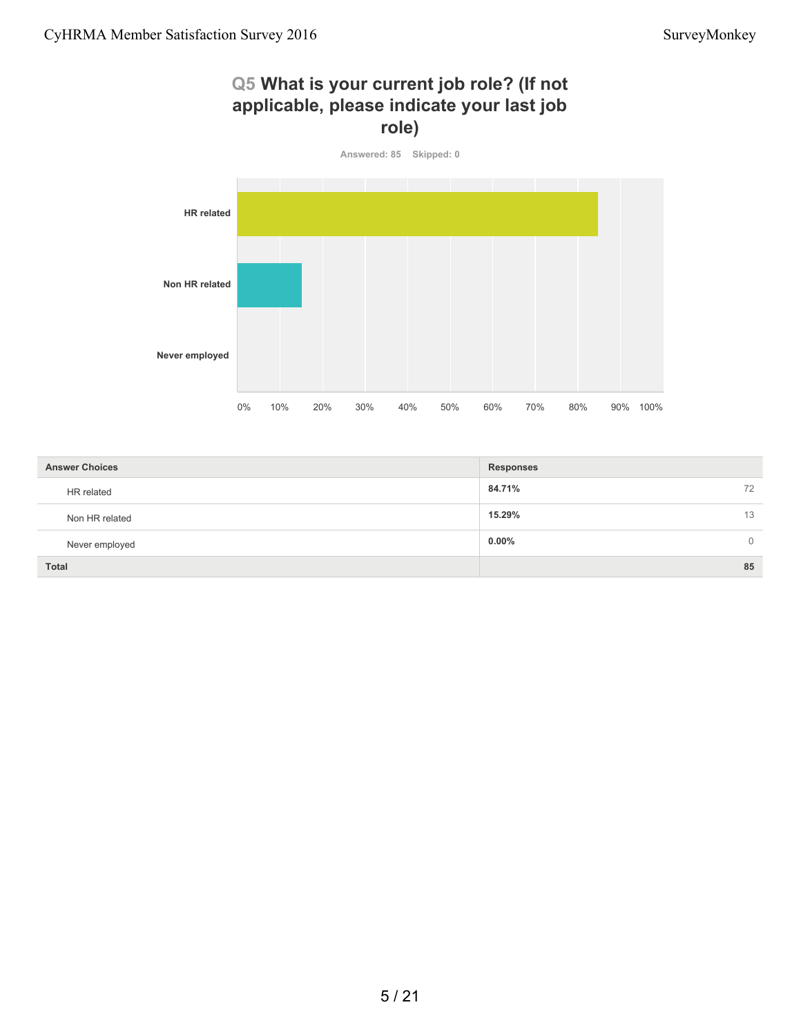#### **Q5 What is your current job role? (If not applicable, please indicate your last job role)**



| <b>Answer Choices</b> | <b>Responses</b>     |
|-----------------------|----------------------|
| HR related            | 84.71%<br>72         |
| Non HR related        | 15.29%<br>13         |
| Never employed        | $0.00\%$<br>$\Omega$ |
| <b>Total</b>          | 85                   |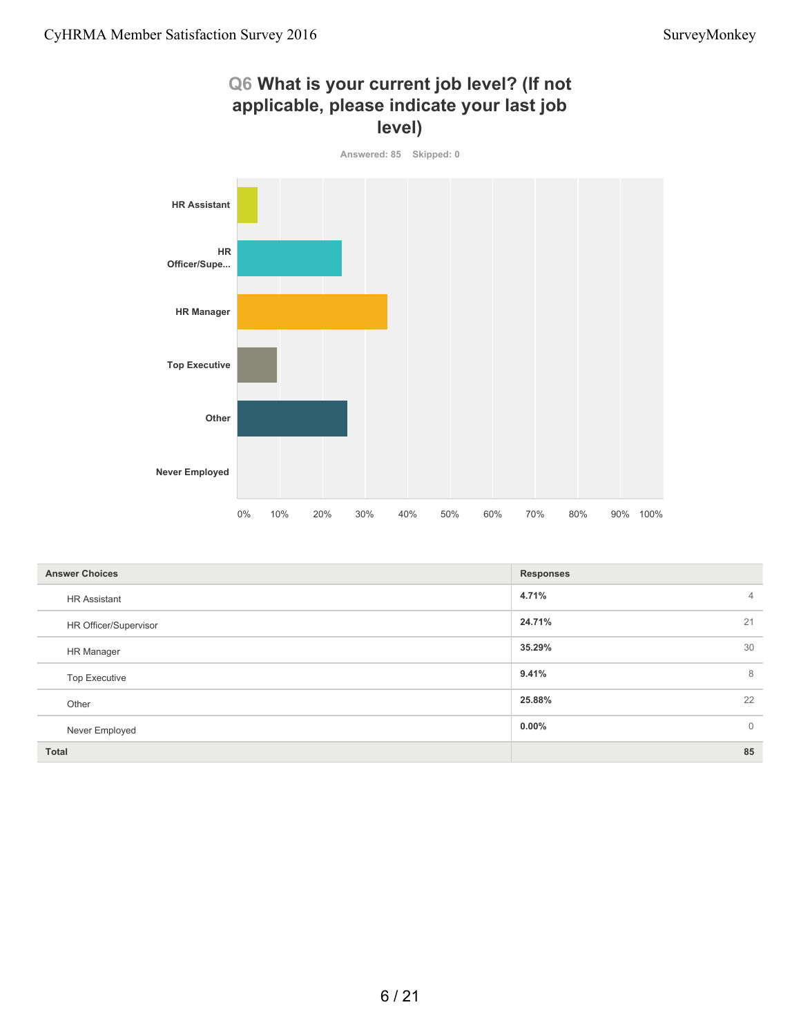#### **Q6 What is your current job level? (If not applicable, please indicate your last job level)**



| <b>Answer Choices</b> | <b>Responses</b>         |
|-----------------------|--------------------------|
| <b>HR Assistant</b>   | 4.71%<br>4               |
| HR Officer/Supervisor | 24.71%<br>21             |
| HR Manager            | 35.29%<br>30             |
| <b>Top Executive</b>  | 9.41%<br>8               |
| Other                 | 25.88%<br>22             |
| Never Employed        | $0.00\%$<br>$\mathbf{0}$ |
| <b>Total</b>          | 85                       |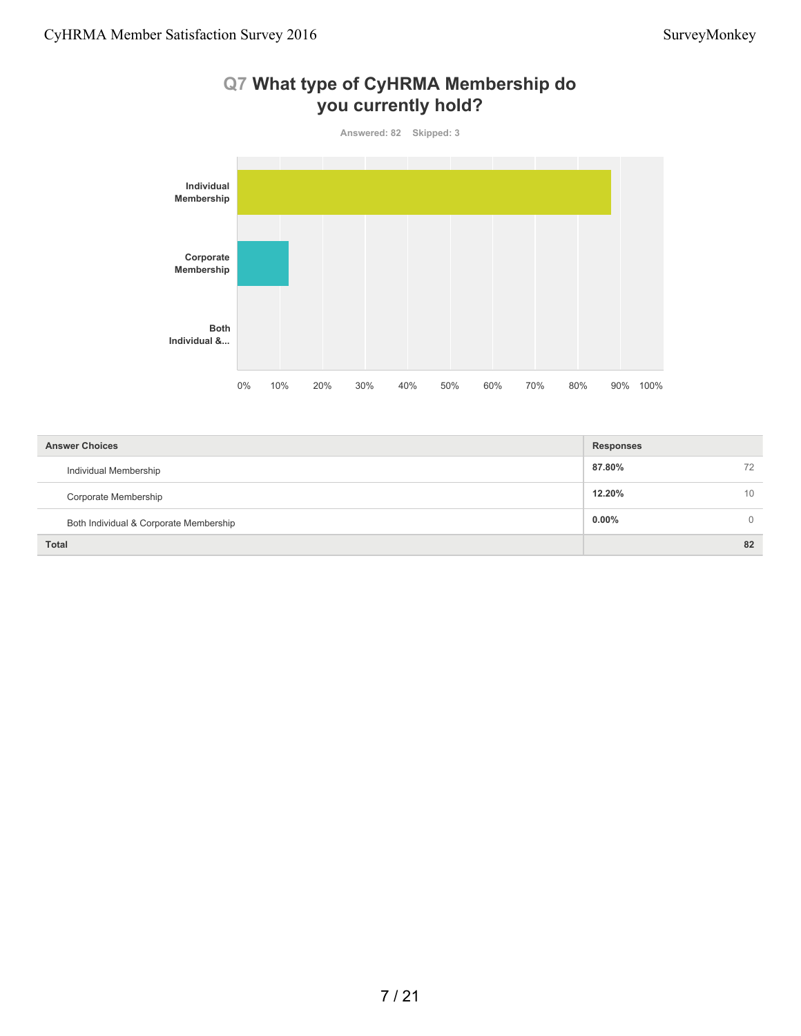

## **Q7 What type of CyHRMA Membership do**

| <b>Answer Choices</b>                  | <b>Responses</b> |
|----------------------------------------|------------------|
| Individual Membership                  | 87.80%<br>72     |
| Corporate Membership                   | 12.20%<br>10     |
| Both Individual & Corporate Membership | $0.00\%$         |
| <b>Total</b>                           | 82               |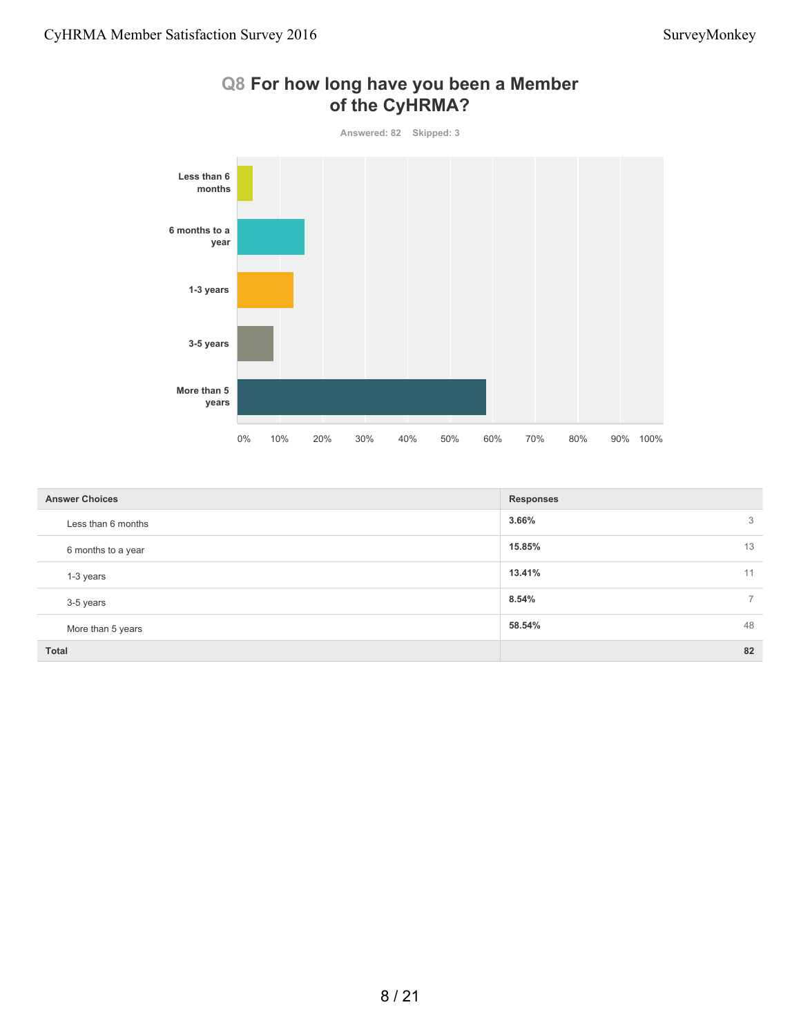

|  |                        |  | Q8 For how long have you been a Member |
|--|------------------------|--|----------------------------------------|
|  | $\alpha$ f the CylDMA2 |  |                                        |

| <b>Answer Choices</b> | <b>Responses</b>        |
|-----------------------|-------------------------|
| Less than 6 months    | 3<br>3.66%              |
| 6 months to a year    | 13<br>15.85%            |
| 1-3 years             | 13.41%<br>11            |
| 3-5 years             | 8.54%<br>$\overline{7}$ |
| More than 5 years     | 48<br>58.54%            |
| <b>Total</b>          | 82                      |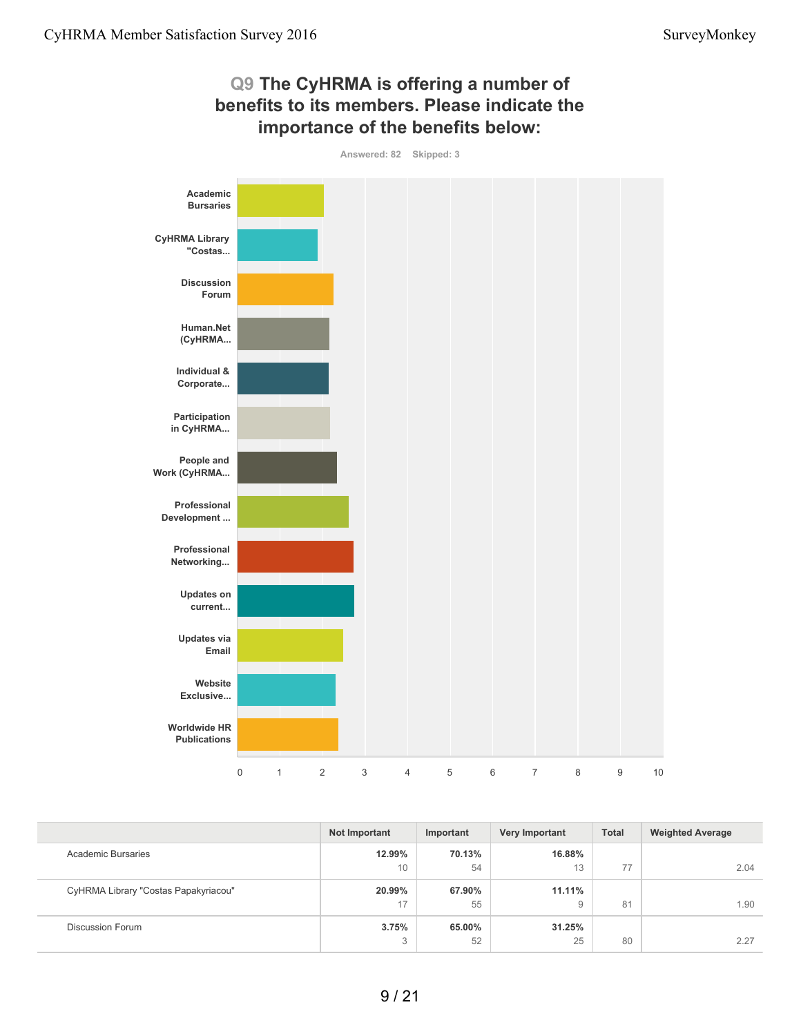

|                                      | Not Important | Important | <b>Very Important</b> | <b>Total</b> | <b>Weighted Average</b> |
|--------------------------------------|---------------|-----------|-----------------------|--------------|-------------------------|
| Academic Bursaries                   | 12.99%        | 70.13%    | 16.88%                |              |                         |
|                                      | 10            | 54        | 13                    | 77           | 2.04                    |
| CyHRMA Library "Costas Papakyriacou" | 20.99%        | 67.90%    | 11.11%                |              |                         |
|                                      | 17            | 55        | 9                     | 81           | 1.90                    |
| <b>Discussion Forum</b>              | 3.75%         | 65.00%    | 31.25%                |              |                         |
|                                      | 3             | 52        | 25                    | 80           | 2.27                    |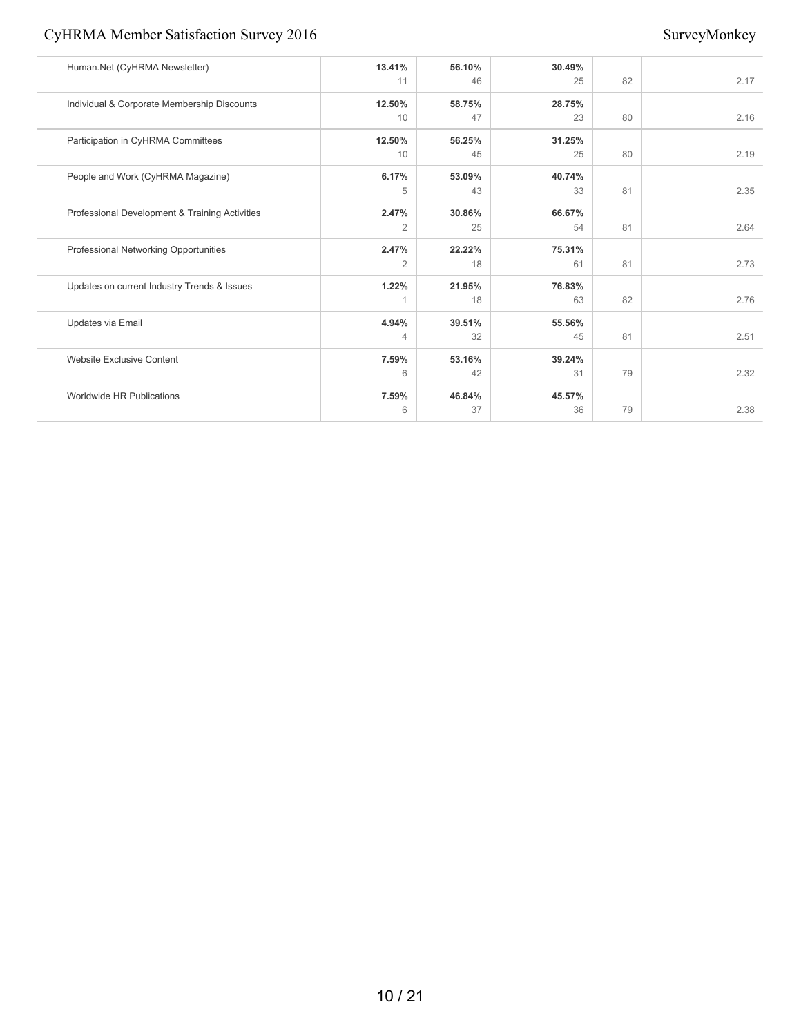#### CyHRMA Member Satisfaction Survey 2016 SurveyMonkey

| Human.Net (CyHRMA Newsletter)                  | 13.41%         | 56.10% | 30.49% |    |      |
|------------------------------------------------|----------------|--------|--------|----|------|
|                                                | 11             | 46     | 25     | 82 | 2.17 |
| Individual & Corporate Membership Discounts    | 12.50%         | 58.75% | 28.75% |    |      |
|                                                | 10             | 47     | 23     | 80 | 2.16 |
| Participation in CyHRMA Committees             | 12.50%         | 56.25% | 31.25% |    |      |
|                                                | 10             | 45     | 25     | 80 | 2.19 |
| People and Work (CyHRMA Magazine)              | 6.17%          | 53.09% | 40.74% |    |      |
|                                                | 5              | 43     | 33     | 81 | 2.35 |
| Professional Development & Training Activities | 2.47%          | 30.86% | 66.67% |    |      |
|                                                | $\overline{2}$ | 25     | 54     | 81 | 2.64 |
| Professional Networking Opportunities          | 2.47%          | 22.22% | 75.31% |    |      |
|                                                | $\overline{2}$ | 18     | 61     | 81 | 2.73 |
| Updates on current Industry Trends & Issues    | 1.22%          | 21.95% | 76.83% |    |      |
|                                                |                | 18     | 63     | 82 | 2.76 |
| Updates via Email                              | 4.94%          | 39.51% | 55.56% |    |      |
|                                                | $\overline{4}$ | 32     | 45     | 81 | 2.51 |
| <b>Website Exclusive Content</b>               | 7.59%          | 53.16% | 39.24% |    |      |
|                                                | 6              | 42     | 31     | 79 | 2.32 |
| Worldwide HR Publications                      | 7.59%          | 46.84% | 45.57% |    |      |
|                                                | 6              | 37     | 36     | 79 | 2.38 |
|                                                |                |        |        |    |      |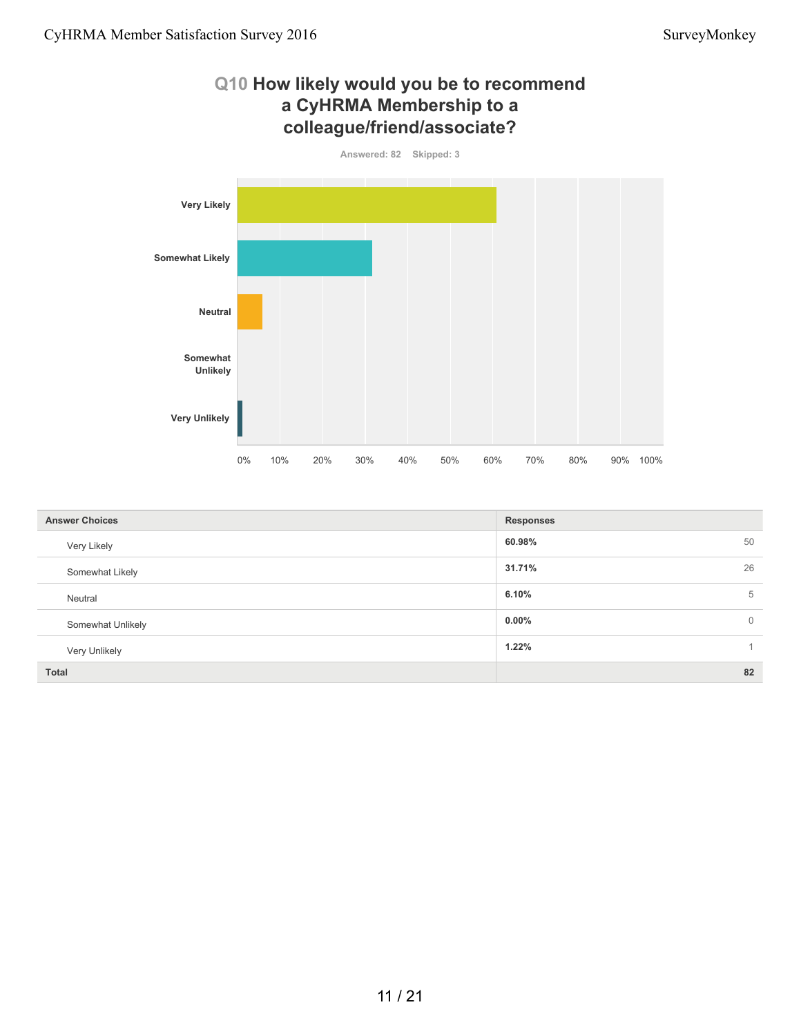

| <b>Answer Choices</b> | <b>Responses</b>           |
|-----------------------|----------------------------|
| Very Likely           | 60.98%<br>50               |
| Somewhat Likely       | 26<br>31.71%               |
| Neutral               | 6.10%<br>5                 |
| Somewhat Unlikely     | $0.00\%$<br>$\overline{0}$ |
| Very Unlikely         | 1.22%                      |
| <b>Total</b>          | 82                         |

#### 11 / 21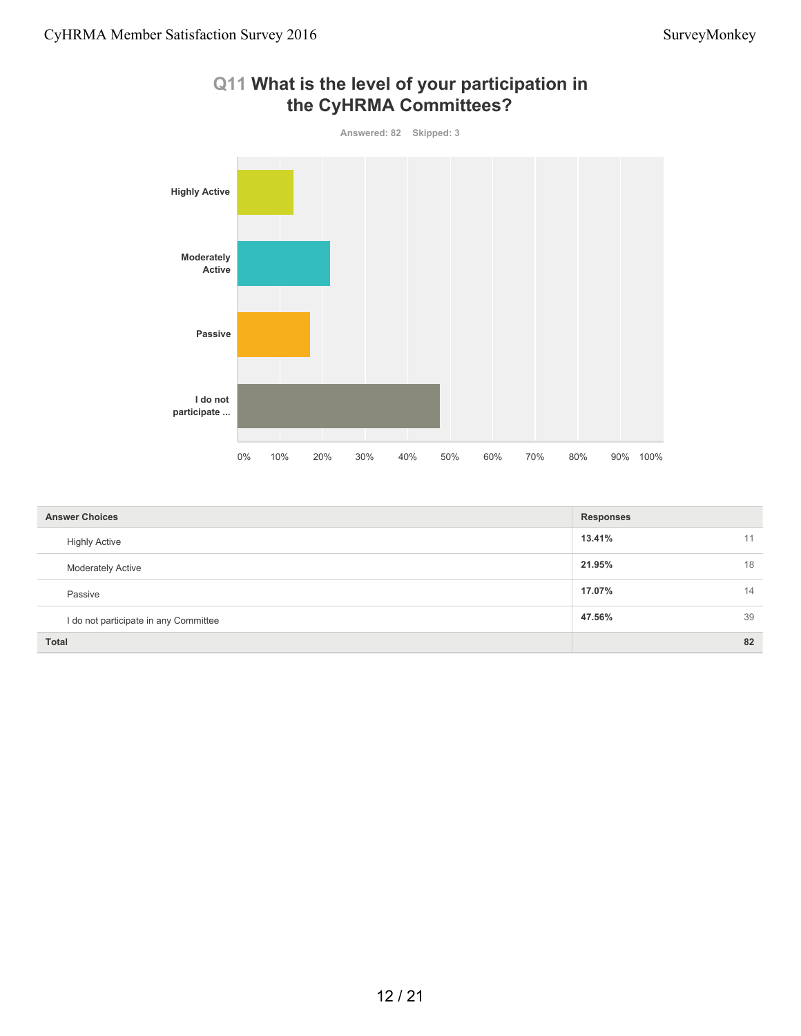

#### **Q11 What is the level of your participation in the CyHRMA Committees?**

| <b>Answer Choices</b>                 | <b>Responses</b> |    |
|---------------------------------------|------------------|----|
| <b>Highly Active</b>                  | 13.41%           | 11 |
| <b>Moderately Active</b>              | 21.95%           | 18 |
| Passive                               | 17.07%           | 14 |
| I do not participate in any Committee | 47.56%           | 39 |
| <b>Total</b>                          |                  | 82 |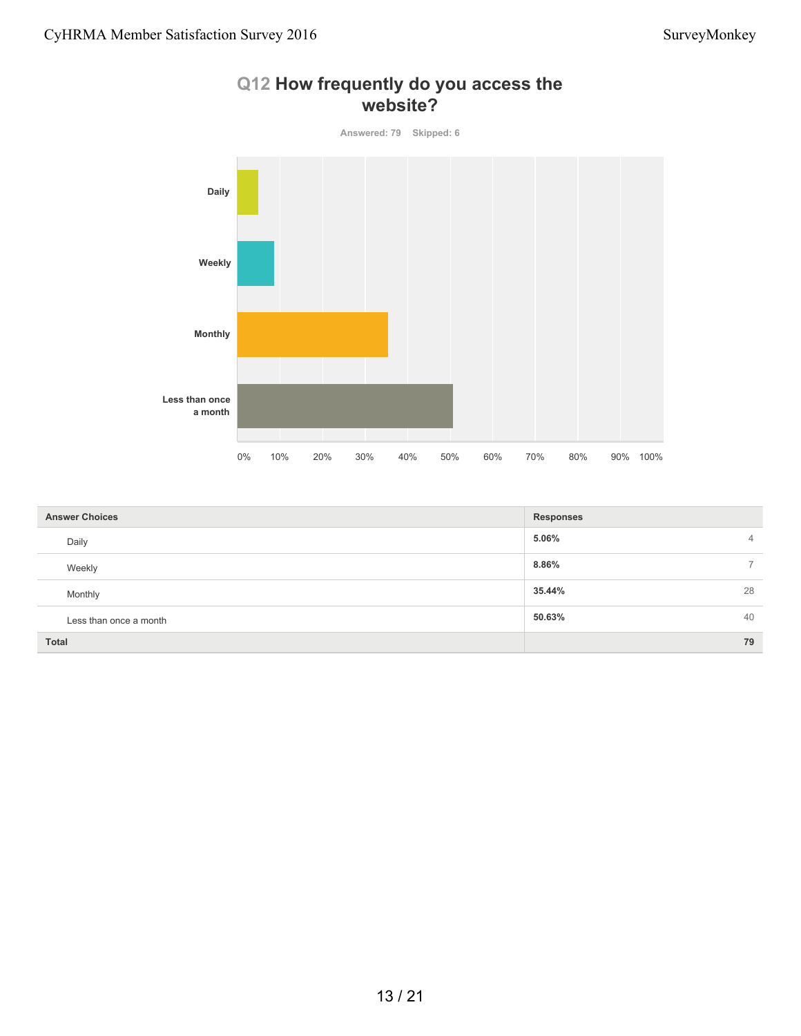

#### **Q12 How frequently do you access the website?**

| <b>Answer Choices</b>  | <b>Responses</b>                  |
|------------------------|-----------------------------------|
| Daily                  | 5.06%<br>$\overline{4}$           |
| Weekly                 | 8.86%<br>$\overline{\phantom{0}}$ |
| Monthly                | 28<br>35.44%                      |
| Less than once a month | 50.63%<br>40                      |
| <b>Total</b>           | 79                                |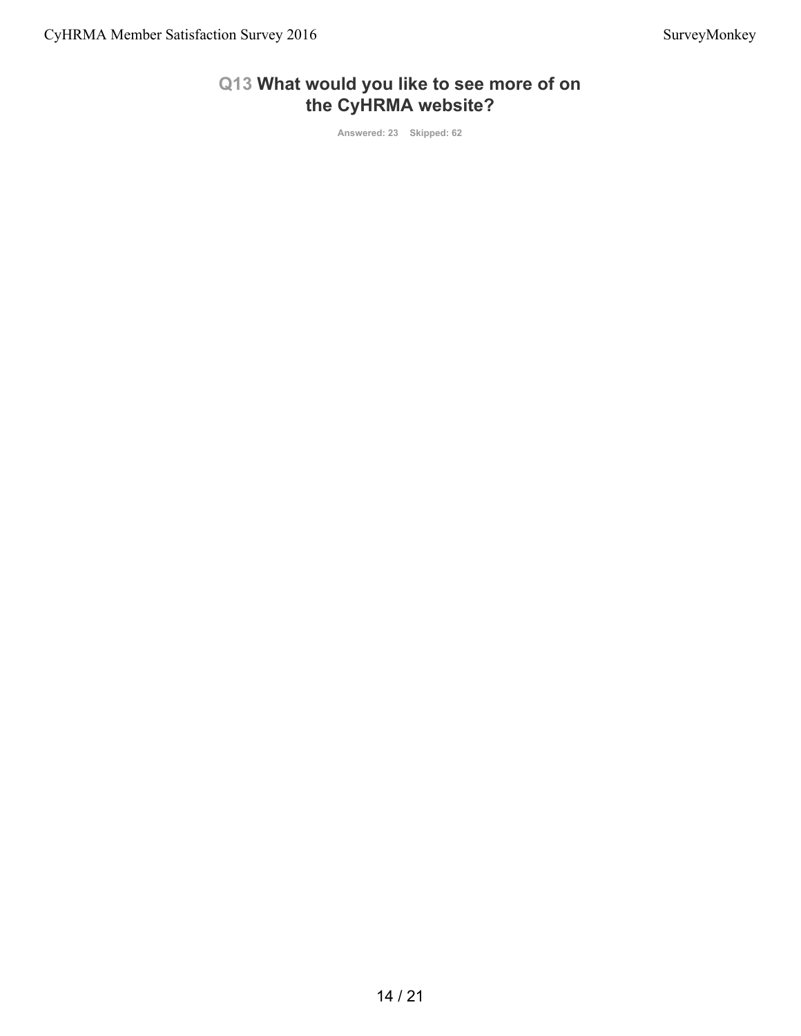#### **Q13 What would you like to see more of on the CyHRMA website?**

**Answered: 23 Skipped: 62**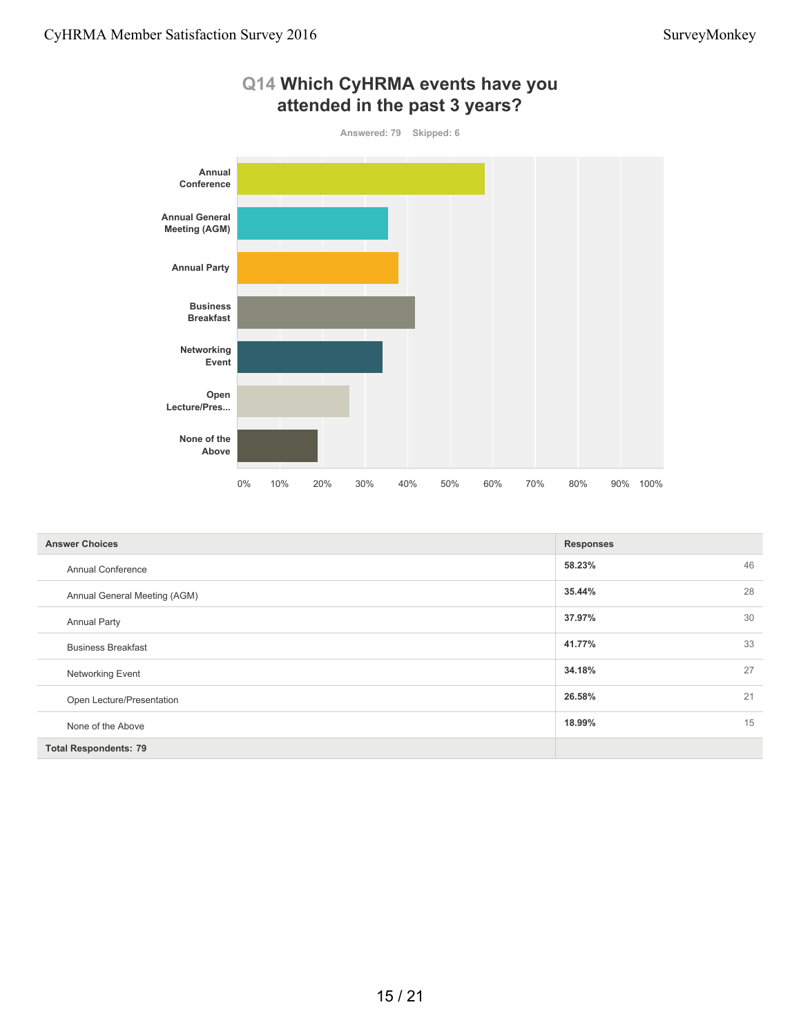

| <b>Answer Choices</b>        | <b>Responses</b> |    |
|------------------------------|------------------|----|
| <b>Annual Conference</b>     | 58.23%           | 46 |
| Annual General Meeting (AGM) | 35.44%           | 28 |
| <b>Annual Party</b>          | 37.97%           | 30 |
| <b>Business Breakfast</b>    | 41.77%           | 33 |
| <b>Networking Event</b>      | 34.18%           | 27 |
| Open Lecture/Presentation    | 26.58%           | 21 |
| None of the Above            | 18.99%           | 15 |
| <b>Total Respondents: 79</b> |                  |    |

# **Q14 Which CyHRMA events have you**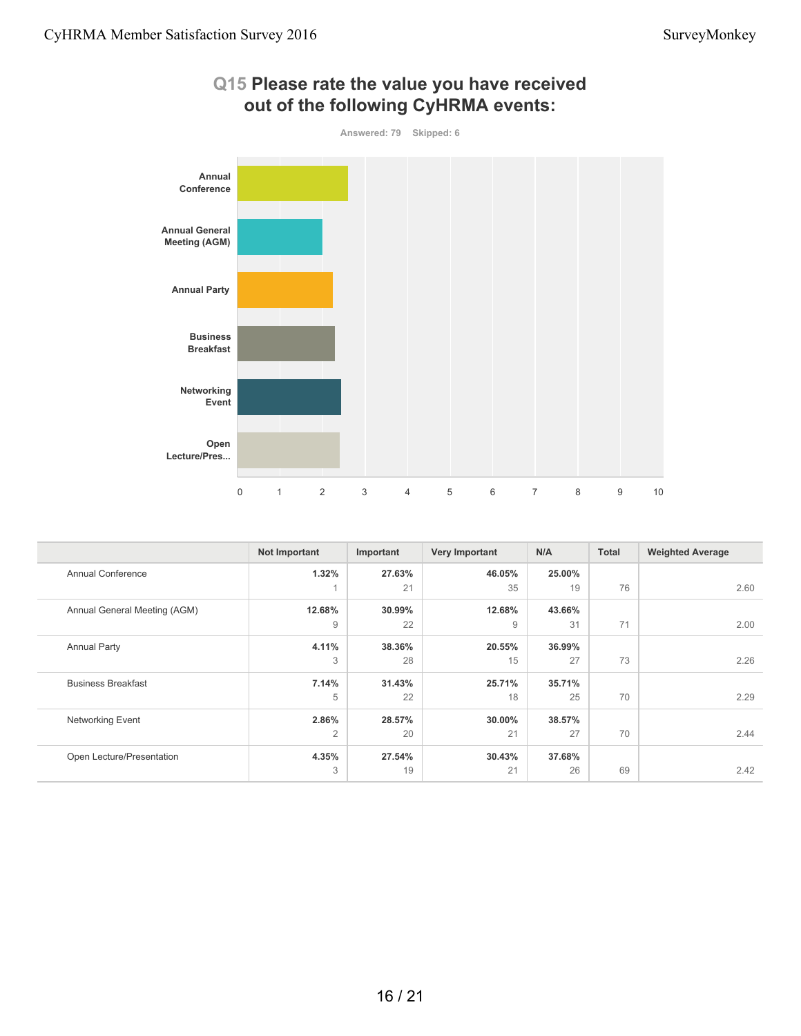

| Q15 Please rate the value you have received |
|---------------------------------------------|
| out of the following CyHRMA events:         |

|                              | Not Important  | Important | Very Important | N/A    | <b>Total</b> | <b>Weighted Average</b> |
|------------------------------|----------------|-----------|----------------|--------|--------------|-------------------------|
| <b>Annual Conference</b>     | 1.32%          | 27.63%    | 46.05%         | 25.00% |              |                         |
|                              |                | 21        | 35             | 19     | 76           | 2.60                    |
| Annual General Meeting (AGM) | 12.68%         | 30.99%    | 12.68%         | 43.66% |              |                         |
|                              | $\overline{9}$ | 22        | 9              | 31     | 71           | 2.00                    |
| <b>Annual Party</b>          | 4.11%          | 38.36%    | 20.55%         | 36.99% |              |                         |
|                              | 3              | 28        | 15             | 27     | 73           | 2.26                    |
| <b>Business Breakfast</b>    | 7.14%          | 31.43%    | 25.71%         | 35.71% |              |                         |
|                              | 5              | 22        | 18             | 25     | 70           | 2.29                    |
| Networking Event             | 2.86%          | 28.57%    | 30.00%         | 38.57% |              |                         |
|                              | $\overline{2}$ | 20        | 21             | 27     | 70           | 2.44                    |
| Open Lecture/Presentation    | 4.35%          | 27.54%    | 30.43%         | 37.68% |              |                         |
|                              | 3              | 19        | 21             | 26     | 69           | 2.42                    |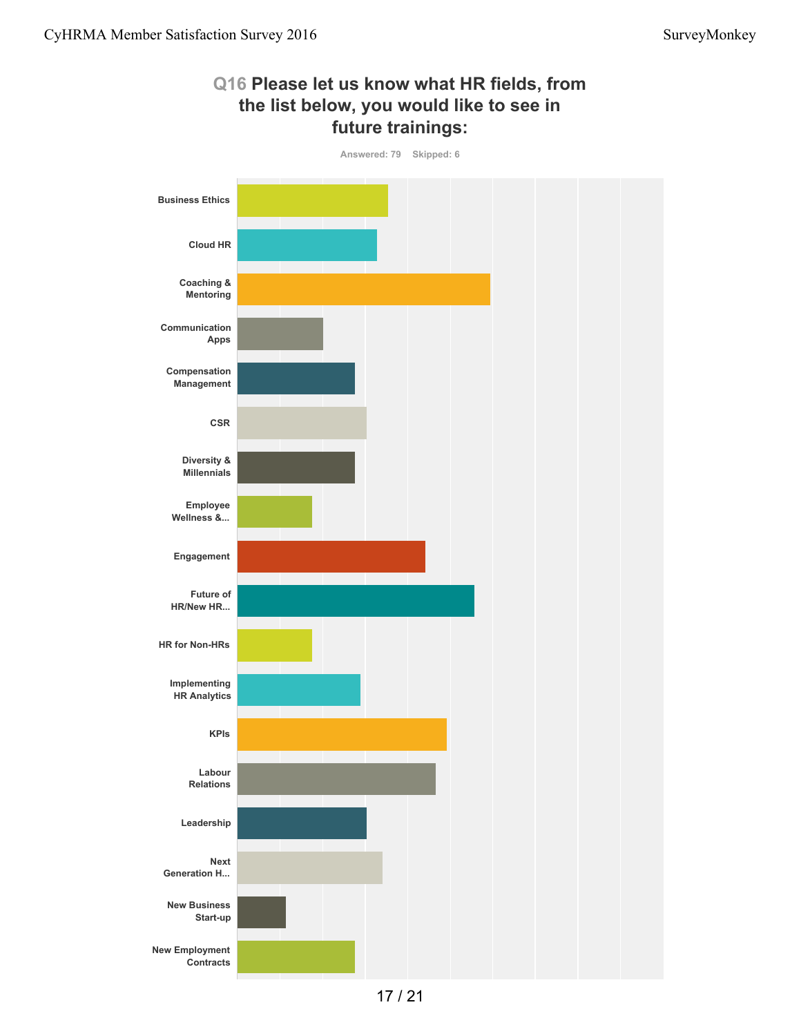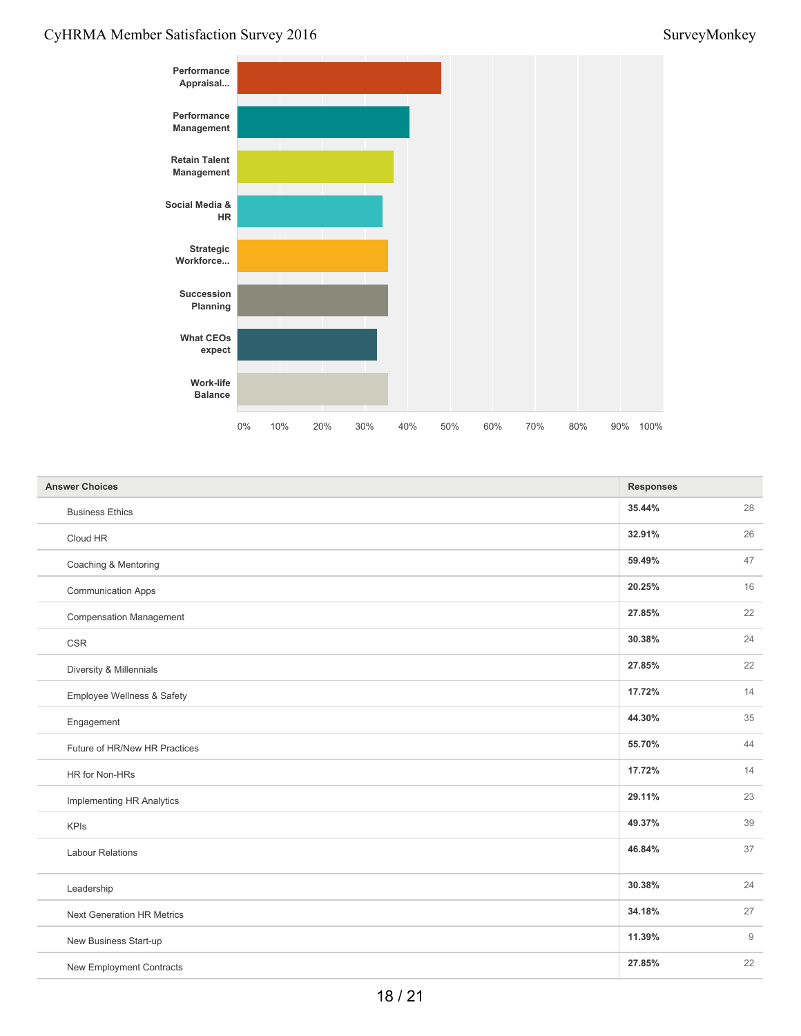#### CyHRMA Member Satisfaction Survey 2016 SurveyMonkey



| <b>Answer Choices</b>             | <b>Responses</b> |    |
|-----------------------------------|------------------|----|
| <b>Business Ethics</b>            | 35.44%           | 28 |
| Cloud HR                          | 32.91%           | 26 |
| Coaching & Mentoring              | 59.49%           | 47 |
| <b>Communication Apps</b>         | 20.25%           | 16 |
| <b>Compensation Management</b>    | 27.85%           | 22 |
| <b>CSR</b>                        | 30.38%           | 24 |
| Diversity & Millennials           | 27.85%           | 22 |
| Employee Wellness & Safety        | 17.72%           | 14 |
| Engagement                        | 44.30%           | 35 |
| Future of HR/New HR Practices     | 55.70%           | 44 |
| HR for Non-HRs                    | 17.72%           | 14 |
| Implementing HR Analytics         | 29.11%           | 23 |
| <b>KPIs</b>                       | 49.37%           | 39 |
| <b>Labour Relations</b>           | 46.84%           | 37 |
| Leadership                        | 30.38%           | 24 |
| <b>Next Generation HR Metrics</b> | 34.18%           | 27 |
| New Business Start-up             | 11.39%           | 9  |
| New Employment Contracts          | 27.85%           | 22 |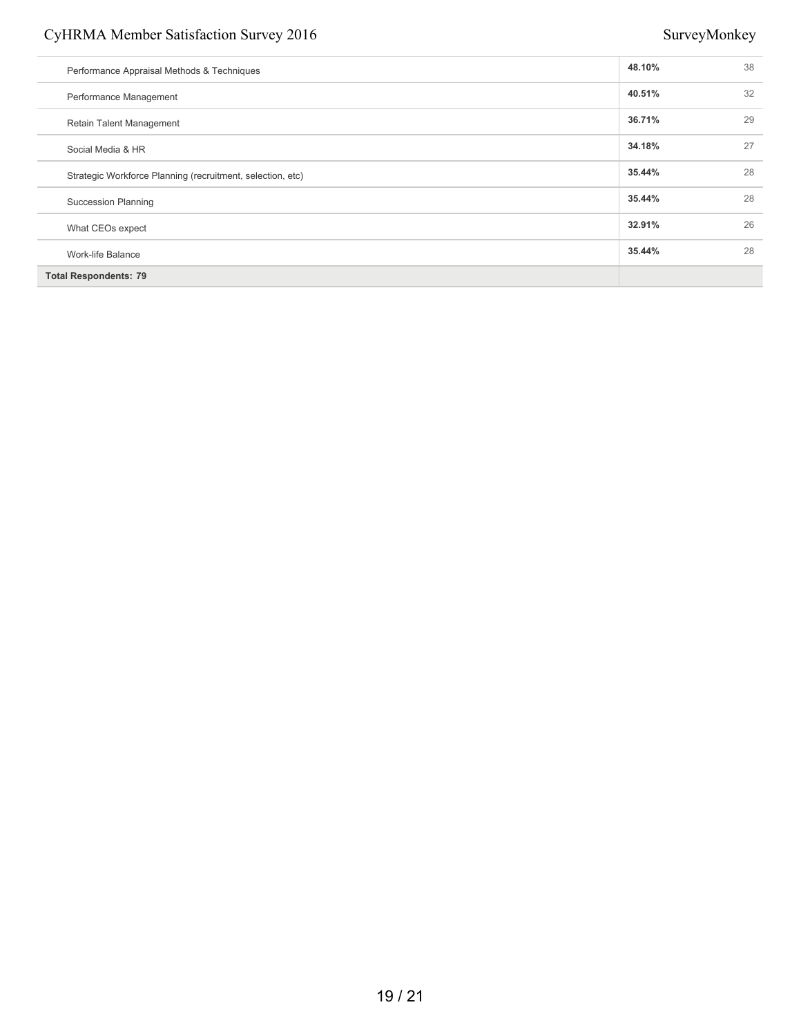#### CyHRMA Member Satisfaction Survey 2016 SurveyMonkey

| Performance Appraisal Methods & Techniques                 | 48.10% | 38 |
|------------------------------------------------------------|--------|----|
| Performance Management                                     | 40.51% | 32 |
| <b>Retain Talent Management</b>                            | 36.71% | 29 |
| Social Media & HR                                          | 34.18% | 27 |
| Strategic Workforce Planning (recruitment, selection, etc) | 35.44% | 28 |
| <b>Succession Planning</b>                                 | 35.44% | 28 |
| What CEOs expect                                           | 32.91% | 26 |
| Work-life Balance                                          | 35.44% | 28 |
| <b>Total Respondents: 79</b>                               |        |    |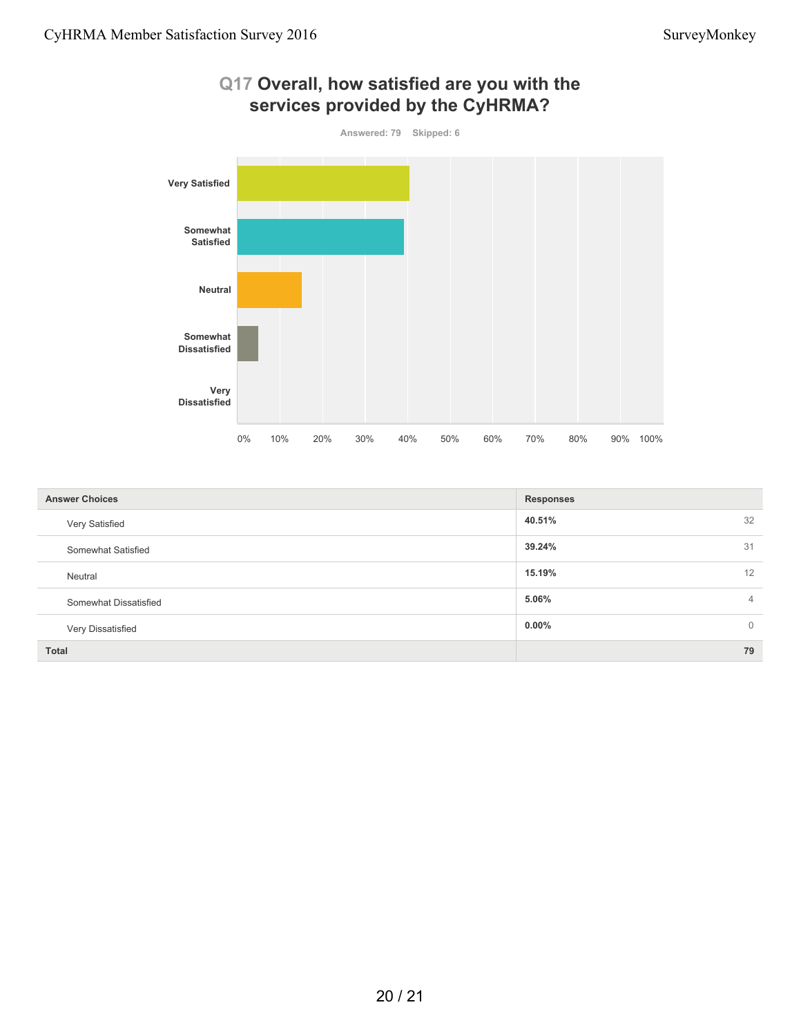

#### **40.51%** 32 **39.24%** 31 **15.19%** 12 **5.06%** 4 **0.00%** 0 **Total 79 Answer Choices Responses** Very Satisfied Somewhat Satisfied Neutral Somewhat Dissatisfied Very Dissatisfied

20 / 21